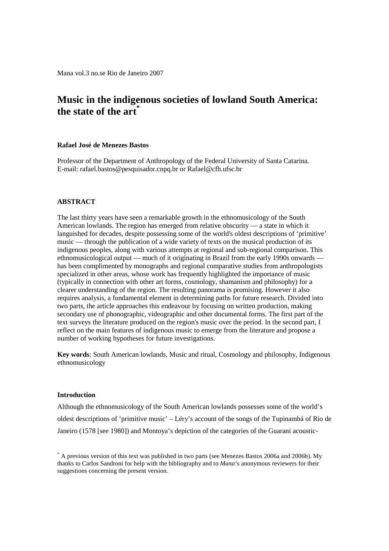Mana vol.3 no.se Rio de Janeiro 2007

# **Music in the indigenous societies of lowland South America: the state of the art\***

## **Rafael José de Menezes Bastos**

Professor of the Department of Anthropology of the Federal University of Santa Catarina. E-mail: rafael.bastos@pesquisador.cnpq.br or Rafael@cfh.ufsc.br

## **ABSTRACT**

The last thirty years have seen a remarkable growth in the ethnomusicology of the South American lowlands. The region has emerged from relative obscurity — a state in which it languished for decades, despite possessing some of the world's oldest descriptions of 'primitive' music — through the publication of a wide variety of texts on the musical production of its indigenous peoples, along with various attempts at regional and sub-regional comparison. This ethnomusicological output — much of it originating in Brazil from the early 1990s onwards has been complimented by monographs and regional comparative studies from anthropologists specialized in other areas, whose work has frequently highlighted the importance of music (typically in connection with other art forms, cosmology, shamanism and philosophy) for a clearer understanding of the region. The resulting panorama is promising. However it also requires analysis, a fundamental element in determining paths for future research. Divided into two parts, the article approaches this endeavour by focusing on written production, making secondary use of phonographic, videographic and other documental forms. The first part of the text surveys the literature produced on the region's music over the period. In the second part, I reflect on the main features of indigenous music to emerge from the literature and propose a number of working hypotheses for future investigations.

**Key words**: South American lowlands, Music and ritual, Cosmology and philosophy, Indigenous ethnomusicology

## **Introduction**

Although the ethnomusicology of the South American lowlands possesses some of the world's oldest descriptions of 'primitive music' – Léry's account of the songs of the Tupinambá of Rio de Janeiro (1578 [see 1980]) and Montoya's depiction of the categories of the Guarani acoustic-

<sup>\*</sup> A previous version of this text was published in two parts (see Menezes Bastos 2006a and 2006b). My thanks to Carlos Sandroni for help with the bibliography and to *Mana*'s anonymous reviewers for their suggestions concerning the present version.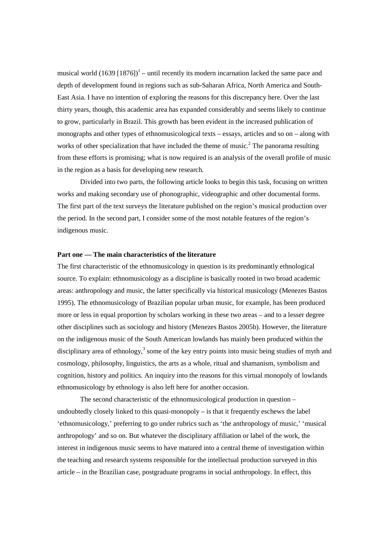musical world  $(1639 [1876])^1$  – until recently its modern incarnation lacked the same pace and depth of development found in regions such as sub-Saharan Africa, North America and South-East Asia. I have no intention of exploring the reasons for this discrepancy here. Over the last thirty years, though, this academic area has expanded considerably and seems likely to continue to grow, particularly in Brazil. This growth has been evident in the increased publication of monographs and other types of ethnomusicological texts – essays, articles and so on – along with works of other specialization that have included the theme of music.<sup>2</sup> The panorama resulting from these efforts is promising; what is now required is an analysis of the overall profile of music in the region as a basis for developing new research.

 Divided into two parts, the following article looks to begin this task, focusing on written works and making secondary use of phonographic, videographic and other documental forms. The first part of the text surveys the literature published on the region's musical production over the period. In the second part, I consider some of the most notable features of the region's indigenous music.

# **Part one — The main characteristics of the literature**

The first characteristic of the ethnomusicology in question is its predominantly ethnological source. To explain: ethnomusicology as a discipline is basically rooted in two broad academic areas: anthropology and music, the latter specifically via historical musicology (Menezes Bastos 1995). The ethnomusicology of Brazilian popular urban music, for example, has been produced more or less in equal proportion by scholars working in these two areas – and to a lesser degree other disciplines such as sociology and history (Menezes Bastos 2005b). However, the literature on the indigenous music of the South American lowlands has mainly been produced within the disciplinary area of ethnology,<sup>3</sup> some of the key entry points into music being studies of myth and cosmology, philosophy, linguistics, the arts as a whole, ritual and shamanism, symbolism and cognition, history and politics. An inquiry into the reasons for this virtual monopoly of lowlands ethnomusicology by ethnology is also left here for another occasion.

 The second characteristic of the ethnomusicological production in question – undoubtedly closely linked to this quasi-monopoly  $-$  is that it frequently eschews the label 'ethnomusicology,' preferring to go under rubrics such as 'the anthropology of music,' 'musical anthropology' and so on. But whatever the disciplinary affiliation or label of the work, the interest in indigenous music seems to have matured into a central theme of investigation within the teaching and research systems responsible for the intellectual production surveyed in this article – in the Brazilian case, postgraduate programs in social anthropology. In effect, this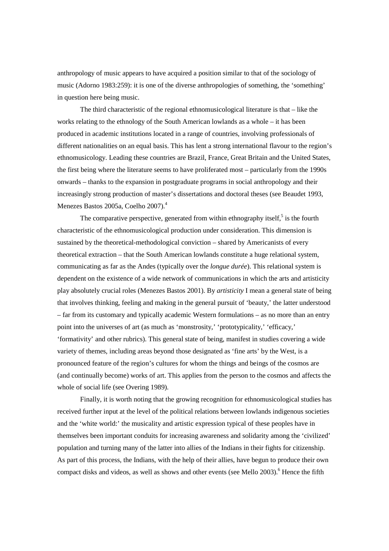anthropology of music appears to have acquired a position similar to that of the sociology of music (Adorno 1983:259): it is one of the diverse anthropologies of something, the 'something' in question here being music.

 The third characteristic of the regional ethnomusicological literature is that – like the works relating to the ethnology of the South American lowlands as a whole – it has been produced in academic institutions located in a range of countries, involving professionals of different nationalities on an equal basis. This has lent a strong international flavour to the region's ethnomusicology. Leading these countries are Brazil, France, Great Britain and the United States, the first being where the literature seems to have proliferated most – particularly from the 1990s onwards – thanks to the expansion in postgraduate programs in social anthropology and their increasingly strong production of master's dissertations and doctoral theses (see Beaudet 1993, Menezes Bastos 2005a, Coelho 2007).<sup>4</sup>

The comparative perspective, generated from within ethnography itself, $5$  is the fourth characteristic of the ethnomusicological production under consideration. This dimension is sustained by the theoretical-methodological conviction – shared by Americanists of every theoretical extraction – that the South American lowlands constitute a huge relational system, communicating as far as the Andes (typically over the *longue durée*). This relational system is dependent on the existence of a wide network of communications in which the arts and artisticity play absolutely crucial roles (Menezes Bastos 2001). By *artisticity* I mean a general state of being that involves thinking, feeling and making in the general pursuit of 'beauty,' the latter understood – far from its customary and typically academic Western formulations – as no more than an entry point into the universes of art (as much as 'monstrosity,' 'prototypicality,' 'efficacy,' 'formativity' and other rubrics). This general state of being, manifest in studies covering a wide variety of themes, including areas beyond those designated as 'fine arts' by the West, is a pronounced feature of the region's cultures for whom the things and beings of the cosmos are (and continually become) works of art. This applies from the person to the cosmos and affects the whole of social life (see Overing 1989).

 Finally, it is worth noting that the growing recognition for ethnomusicological studies has received further input at the level of the political relations between lowlands indigenous societies and the 'white world:' the musicality and artistic expression typical of these peoples have in themselves been important conduits for increasing awareness and solidarity among the 'civilized' population and turning many of the latter into allies of the Indians in their fights for citizenship. As part of this process, the Indians, with the help of their allies, have begun to produce their own compact disks and videos, as well as shows and other events (see Mello 2003).<sup>6</sup> Hence the fifth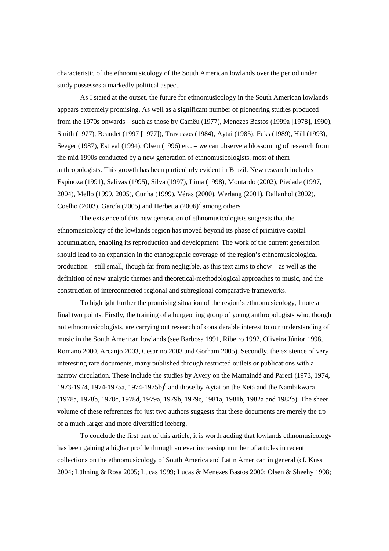characteristic of the ethnomusicology of the South American lowlands over the period under study possesses a markedly political aspect.

 As I stated at the outset, the future for ethnomusicology in the South American lowlands appears extremely promising. As well as a significant number of pioneering studies produced from the 1970s onwards – such as those by Camêu (1977), Menezes Bastos (1999a [1978], 1990), Smith (1977), Beaudet (1997 [1977]), Travassos (1984), Aytai (1985), Fuks (1989), Hill (1993), Seeger (1987), Estival (1994), Olsen (1996) etc. – we can observe a blossoming of research from the mid 1990s conducted by a new generation of ethnomusicologists, most of them anthropologists. This growth has been particularly evident in Brazil. New research includes Espinoza (1991), Salivas (1995), Silva (1997), Lima (1998), Montardo (2002), Piedade (1997, 2004), Mello (1999, 2005), Cunha (1999), Véras (2000), Werlang (2001), Dallanhol (2002), Coelho (2003), García (2005) and Herbetta (2006)<sup>7</sup> among others.

 The existence of this new generation of ethnomusicologists suggests that the ethnomusicology of the lowlands region has moved beyond its phase of primitive capital accumulation, enabling its reproduction and development. The work of the current generation should lead to an expansion in the ethnographic coverage of the region's ethnomusicological production – still small, though far from negligible, as this text aims to show – as well as the definition of new analytic themes and theoretical-methodological approaches to music, and the construction of interconnected regional and subregional comparative frameworks.

 To highlight further the promising situation of the region's ethnomusicology, I note a final two points. Firstly, the training of a burgeoning group of young anthropologists who, though not ethnomusicologists, are carrying out research of considerable interest to our understanding of music in the South American lowlands (see Barbosa 1991, Ribeiro 1992, Oliveira Júnior 1998, Romano 2000, Arcanjo 2003, Cesarino 2003 and Gorham 2005). Secondly, the existence of very interesting rare documents, many published through restricted outlets or publications with a narrow circulation. These include the studies by Avery on the Mamaindé and Pareci (1973, 1974, 1973-1974, 1974-1975a, 1974-1975b)<sup>8</sup> and those by Aytai on the Xetá and the Nambikwara (1978a, 1978b, 1978c, 1978d, 1979a, 1979b, 1979c, 1981a, 1981b, 1982a and 1982b). The sheer volume of these references for just two authors suggests that these documents are merely the tip of a much larger and more diversified iceberg.

 To conclude the first part of this article, it is worth adding that lowlands ethnomusicology has been gaining a higher profile through an ever increasing number of articles in recent collections on the ethnomusicology of South America and Latin American in general (cf. Kuss 2004; Lühning & Rosa 2005; Lucas 1999; Lucas & Menezes Bastos 2000; Olsen & Sheehy 1998;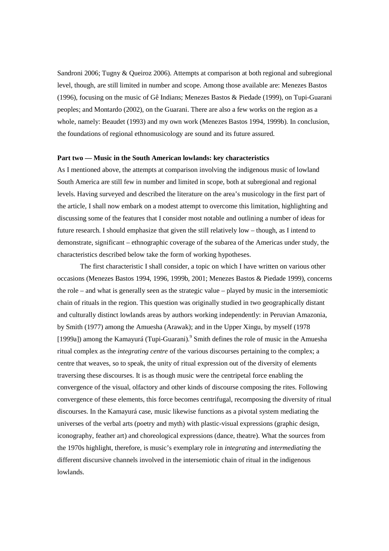Sandroni 2006; Tugny & Queiroz 2006). Attempts at comparison at both regional and subregional level, though, are still limited in number and scope. Among those available are: Menezes Bastos (1996), focusing on the music of Gê Indians; Menezes Bastos & Piedade (1999), on Tupi-Guarani peoples; and Montardo (2002), on the Guarani. There are also a few works on the region as a whole, namely: Beaudet (1993) and my own work (Menezes Bastos 1994, 1999b). In conclusion, the foundations of regional ethnomusicology are sound and its future assured.

#### **Part two — Music in the South American lowlands: key characteristics**

As I mentioned above, the attempts at comparison involving the indigenous music of lowland South America are still few in number and limited in scope, both at subregional and regional levels. Having surveyed and described the literature on the area's musicology in the first part of the article, I shall now embark on a modest attempt to overcome this limitation, highlighting and discussing some of the features that I consider most notable and outlining a number of ideas for future research. I should emphasize that given the still relatively low – though, as I intend to demonstrate, significant – ethnographic coverage of the subarea of the Americas under study, the characteristics described below take the form of working hypotheses.

 The first characteristic I shall consider, a topic on which I have written on various other occasions (Menezes Bastos 1994, 1996, 1999b, 2001; Menezes Bastos & Piedade 1999), concerns the role – and what is generally seen as the strategic value – played by music in the intersemiotic chain of rituals in the region. This question was originally studied in two geographically distant and culturally distinct lowlands areas by authors working independently: in Peruvian Amazonia, by Smith (1977) among the Amuesha (Arawak); and in the Upper Xingu, by myself (1978 [1999a]) among the Kamayurá (Tupi-Guarani).<sup>9</sup> Smith defines the role of music in the Amuesha ritual complex as the *integrating centre* of the various discourses pertaining to the complex; a centre that weaves, so to speak, the unity of ritual expression out of the diversity of elements traversing these discourses. It is as though music were the centripetal force enabling the convergence of the visual, olfactory and other kinds of discourse composing the rites. Following convergence of these elements, this force becomes centrifugal, recomposing the diversity of ritual discourses. In the Kamayurá case, music likewise functions as a pivotal system mediating the universes of the verbal arts (poetry and myth) with plastic-visual expressions (graphic design, iconography, feather art) and choreological expressions (dance, theatre). What the sources from the 1970s highlight, therefore, is music's exemplary role in *integrating* and *intermediating* the different discursive channels involved in the intersemiotic chain of ritual in the indigenous lowlands.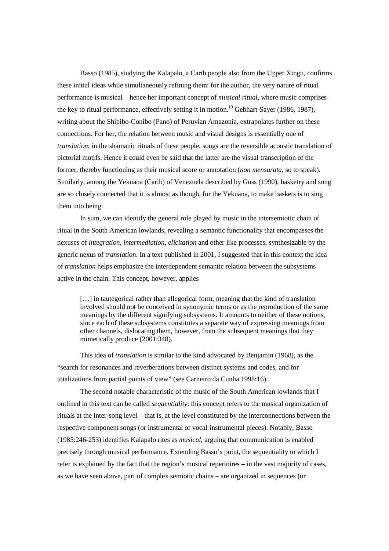Basso (1985), studying the Kalapalo, a Carib people also from the Upper Xingu, confirms these initial ideas while simultaneously refining them: for the author, the very nature of ritual performance is musical – hence her important concept of *musical ritual*, where music comprises the key to ritual performance, effectively setting it in motion.<sup>10</sup> Gebhart-Sayer (1986, 1987), writing about the Shipibo-Conibo (Pano) of Peruvian Amazonia, extrapolates further on these connections. For her, the relation between music and visual designs is essentially one of *translation*; in the shamanic rituals of these people, songs are the reversible acoustic translation of pictorial motifs. Hence it could even be said that the latter are the visual transcription of the former, thereby functioning as their musical score or annotation (*non mensurata*, so to speak). Similarly, among the Yekuana (Carib) of Venezuela described by Guss (1990), basketry and song are so closely connected that it is almost as though, for the Yekuana, to make baskets is to sing them into being.

 In sum, we can identify the general role played by music in the intersemiotic chain of ritual in the South American lowlands, revealing a semantic functionality that encompasses the nexuses of *integration*, *intermediation*, *elicitation* and other like processes, synthesizable by the generic nexus of *translation*. In a text published in 2001, I suggested that in this context the idea of *translation* helps emphasize the interdependent semantic relation between the subsystems active in the chain. This concept, however, applies

[...] in tautegorical rather than allegorical form, meaning that the kind of translation involved should not be conceived in synonymic terms or as the reproduction of the same meanings by the different signifying subsystems. It amounts to neither of these notions, since each of these subsystems constitutes a separate way of expressing meanings from other channels, dislocating them, however, from the subsequent meanings that they mimetically produce (2001:348).

 This idea of *translation* is similar to the kind advocated by Benjamin (1968), as the "search for resonances and reverberations between distinct systems and codes, and for totalizations from partial points of view" (see Carneiro da Cunha 1998:16).

 The second notable characteristic of the music of the South American lowlands that I outlined in this text can be called *sequentiality*: this concept refers to the musical organization of rituals at the inter-song level – that is, at the level constituted by the interconnections between the respective component songs (or instrumental or vocal-instrumental pieces). Notably, Basso (1985:246-253) identifies Kalapalo rites as *musical*, arguing that communication is enabled precisely through musical performance. Extending Basso's point, the sequentiality to which I refer is explained by the fact that the region's musical repertoires – in the vast majority of cases, as we have seen above, part of complex semiotic chains – are organized in sequences (or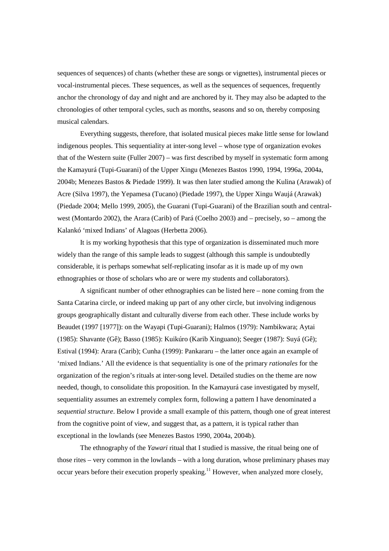sequences of sequences) of chants (whether these are songs or vignettes), instrumental pieces or vocal-instrumental pieces. These sequences, as well as the sequences of sequences, frequently anchor the chronology of day and night and are anchored by it. They may also be adapted to the chronologies of other temporal cycles, such as months, seasons and so on, thereby composing musical calendars.

 Everything suggests, therefore, that isolated musical pieces make little sense for lowland indigenous peoples. This sequentiality at inter-song level – whose type of organization evokes that of the Western suite (Fuller 2007) – was first described by myself in systematic form among the Kamayurá (Tupi-Guarani) of the Upper Xingu (Menezes Bastos 1990, 1994, 1996a, 2004a, 2004b; Menezes Bastos & Piedade 1999). It was then later studied among the Kulina (Arawak) of Acre (Silva 1997), the Yepamesa (Tucano) (Piedade 1997), the Upper Xingu Waujá (Arawak) (Piedade 2004; Mello 1999, 2005), the Guarani (Tupi-Guarani) of the Brazilian south and centralwest (Montardo 2002), the Arara (Carib) of Pará (Coelho 2003) and – precisely, so – among the Kalankó 'mixed Indians' of Alagoas (Herbetta 2006).

 It is my working hypothesis that this type of organization is disseminated much more widely than the range of this sample leads to suggest (although this sample is undoubtedly considerable, it is perhaps somewhat self-replicating insofar as it is made up of my own ethnographies or those of scholars who are or were my students and collaborators).

 A significant number of other ethnographies can be listed here – none coming from the Santa Catarina circle, or indeed making up part of any other circle, but involving indigenous groups geographically distant and culturally diverse from each other. These include works by Beaudet (1997 [1977]): on the Wayapi (Tupi-Guarani); Halmos (1979): Nambikwara; Aytai (1985): Shavante (Gê); Basso (1985): Kuikúro (Karib Xinguano); Seeger (1987): Suyá (Gê); Estival (1994): Arara (Carib); Cunha (1999): Pankararu – the latter once again an example of 'mixed Indians.' All the evidence is that sequentiality is one of the primary *rationales* for the organization of the region's rituals at inter-song level. Detailed studies on the theme are now needed, though, to consolidate this proposition. In the Kamayurá case investigated by myself, sequentiality assumes an extremely complex form, following a pattern I have denominated a *sequential structure*. Below I provide a small example of this pattern, though one of great interest from the cognitive point of view, and suggest that, as a pattern, it is typical rather than exceptional in the lowlands (see Menezes Bastos 1990, 2004a, 2004b).

 The ethnography of the *Yawari* ritual that I studied is massive, the ritual being one of those rites – very common in the lowlands – with a long duration, whose preliminary phases may occur years before their execution properly speaking.<sup>11</sup> However, when analyzed more closely,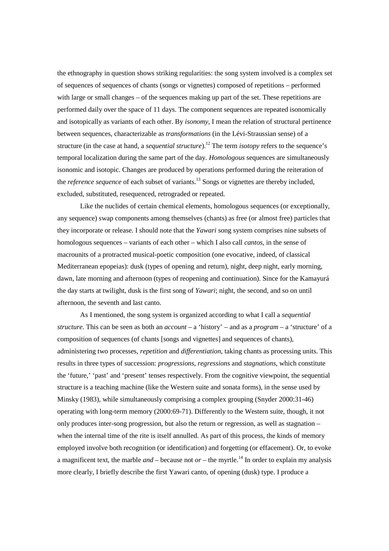the ethnography in question shows striking regularities: the song system involved is a complex set of sequences of sequences of chants (songs or vignettes) composed of repetitions – performed with large or small changes – of the sequences making up part of the set. These repetitions are performed daily over the space of 11 days. The component sequences are repeated isonomically and isotopically as variants of each other. By *isonomy*, I mean the relation of structural pertinence between sequences, characterizable as *transformations* (in the Lévi-Straussian sense) of a structure (in the case at hand, a *sequential structure*).<sup>12</sup> The term *isotopy* refers to the sequence's temporal localization during the same part of the day. *Homologous* sequences are simultaneously isonomic and isotopic. Changes are produced by operations performed during the reiteration of the *reference sequence* of each subset of variants.<sup>13</sup> Songs or vignettes are thereby included, excluded, substituted, resequenced, retrograded or repeated.

 Like the nuclides of certain chemical elements, homologous sequences (or exceptionally, any sequence) swap components among themselves (chants) as free (or almost free) particles that they incorporate or release. I should note that the *Yawari* song system comprises nine subsets of homologous sequences – variants of each other – which I also call *cantos*, in the sense of macrounits of a protracted musical-poetic composition (one evocative, indeed, of classical Mediterranean epopeias): dusk (types of opening and return), night, deep night, early morning, dawn, late morning and afternoon (types of reopening and continuation). Since for the Kamayurá the day starts at twilight, dusk is the first song of *Yawari*; night, the second, and so on until afternoon, the seventh and last canto.

 As I mentioned, the song system is organized according to what I call a *sequential structure*. This can be seen as both an *account* – a 'history' – and as a *program* – a 'structure' of a composition of sequences (of chants [songs and vignettes] and sequences of chants), administering two processes, *repetition* and *differentiation*, taking chants as processing units. This results in three types of succession: *progressions*, *regressions* and *stagnations*, which constitute the 'future,' 'past' and 'present' tenses respectively. From the cognitive viewpoint, the sequential structure is a teaching machine (like the Western suite and sonata forms), in the sense used by Minsky (1983), while simultaneously comprising a complex grouping (Snyder 2000:31-46) operating with long-term memory (2000:69-71). Differently to the Western suite, though, it not only produces inter-song progression, but also the return or regression, as well as stagnation – when the internal time of the rite is itself annulled. As part of this process, the kinds of memory employed involve both recognition (or identification) and forgetting (or effacement). Or, to evoke a magnificent text, the marble *and* – because not  $or$  – the myrtle.<sup>14</sup> In order to explain my analysis more clearly, I briefly describe the first Yawari canto, of opening (dusk) type. I produce a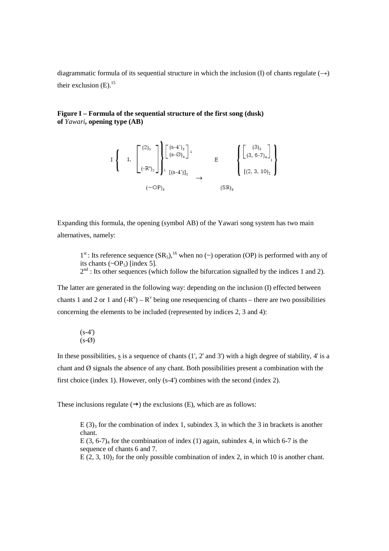diagrammatic formula of its sequential structure in which the inclusion (I) of chants regulate  $(\rightarrow)$ their exclusion  $(E)$ .<sup>15</sup>

# **Figure I – Formula of the sequential structure of the first song (dusk) of** *Yawari***, opening type (AB)**

$$
I\left\{\n\begin{array}{c}\n1, \\
1, \\
\end{array}\n\begin{bmatrix}\n(2)_1 \\
(-R^y)_2\n\end{bmatrix}\n\right\} \begin{bmatrix}\n(s-4')_3 \\
(s-6')_4\n\end{bmatrix}^1\n\right\}\n\longrightarrow\n\begin{array}{c}\nE \\
\end{array}\n\left\{\n\begin{bmatrix}\n(3)_3 \\
(3, 6-7)_4\n\end{bmatrix}^1\n\right\} \\
(\sim \text{OP})_5\n\end{array}
$$
\n
$$
(SR)_5
$$

Expanding this formula, the opening (symbol AB) of the Yawari song system has two main alternatives, namely:

 $1<sup>st</sup>$ : Its reference sequence  $(SR<sub>5</sub>)$ , <sup>16</sup> when no (~) operation (OP) is performed with any of its chants  $({\sim}OP_5)$  [index 5].  $2<sup>nd</sup>$ : Its other sequences (which follow the bifurcation signalled by the indices 1 and 2).

The latter are generated in the following way: depending on the inclusion (I) effected between chants 1 and 2 or 1 and  $(-R^v) - R^v$  being one resequencing of chants – there are two possibilities concerning the elements to be included (represented by indices 2, 3 and 4):

$$
\begin{array}{c} (s-4')\\ (s-6) \end{array}
$$

In these possibilities, s is a sequence of chants (1', 2' and 3') with a high degree of stability, 4' is a chant and  $\emptyset$  signals the absence of any chant. Both possibilities present a combination with the first choice (index 1). However, only (s-4') combines with the second (index 2).

These inclusions regulate  $(\rightarrow)$  the exclusions (E), which are as follows:

 $E(3)$ <sub>3</sub> for the combination of index 1, subindex 3, in which the 3 in brackets is another chant. E  $(3, 6-7)$ <sub>4</sub> for the combination of index (1) again, subindex 4, in which 6-7 is the sequence of chants 6 and 7. E  $(2, 3, 10)$  for the only possible combination of index 2, in which 10 is another chant.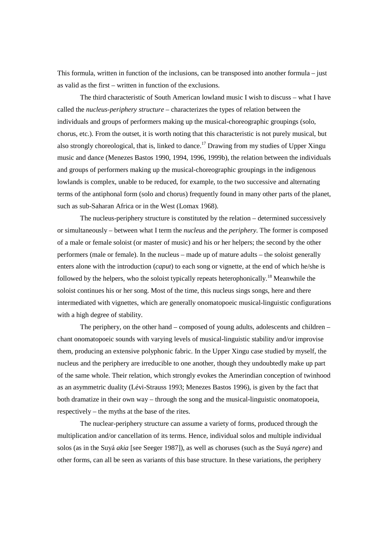This formula, written in function of the inclusions, can be transposed into another formula – just as valid as the first – written in function of the exclusions.

 The third characteristic of South American lowland music I wish to discuss – what I have called the *nucleus-periphery structure* – characterizes the types of relation between the individuals and groups of performers making up the musical-choreographic groupings (solo, chorus, etc.). From the outset, it is worth noting that this characteristic is not purely musical, but also strongly choreological, that is, linked to dance.<sup>17</sup> Drawing from my studies of Upper Xingu music and dance (Menezes Bastos 1990, 1994, 1996, 1999b), the relation between the individuals and groups of performers making up the musical-choreographic groupings in the indigenous lowlands is complex, unable to be reduced, for example, to the two successive and alternating terms of the antiphonal form (solo and chorus) frequently found in many other parts of the planet, such as sub-Saharan Africa or in the West (Lomax 1968).

 The nucleus-periphery structure is constituted by the relation – determined successively or simultaneously – between what I term the *nucleus* and the *periphery*. The former is composed of a male or female soloist (or master of music) and his or her helpers; the second by the other performers (male or female). In the nucleus – made up of mature adults – the soloist generally enters alone with the introduction (*caput*) to each song or vignette, at the end of which he/she is followed by the helpers, who the soloist typically repeats heterophonically.<sup>18</sup> Meanwhile the soloist continues his or her song. Most of the time, this nucleus sings songs, here and there intermediated with vignettes, which are generally onomatopoeic musical-linguistic configurations with a high degree of stability.

 The periphery, on the other hand – composed of young adults, adolescents and children – chant onomatopoeic sounds with varying levels of musical-linguistic stability and/or improvise them, producing an extensive polyphonic fabric. In the Upper Xingu case studied by myself, the nucleus and the periphery are irreducible to one another, though they undoubtedly make up part of the same whole. Their relation, which strongly evokes the Amerindian conception of twinhood as an asymmetric duality (Lévi-Strauss 1993; Menezes Bastos 1996), is given by the fact that both dramatize in their own way – through the song and the musical-linguistic onomatopoeia, respectively – the myths at the base of the rites.

 The nuclear-periphery structure can assume a variety of forms, produced through the multiplication and/or cancellation of its terms. Hence, individual solos and multiple individual solos (as in the Suyá *akia* [see Seeger 1987]), as well as choruses (such as the Suyá *ngere*) and other forms, can all be seen as variants of this base structure. In these variations, the periphery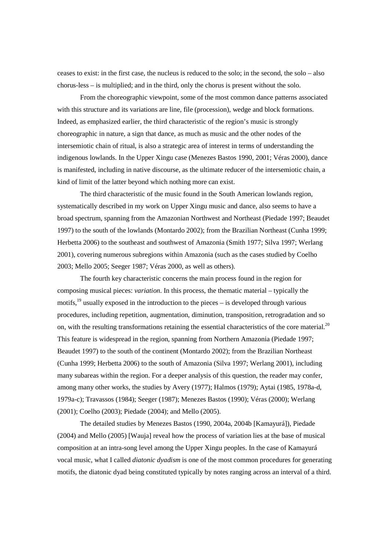ceases to exist: in the first case, the nucleus is reduced to the solo; in the second, the solo – also chorus-less – is multiplied; and in the third, only the chorus is present without the solo.

 From the choreographic viewpoint, some of the most common dance patterns associated with this structure and its variations are line, file (procession), wedge and block formations. Indeed, as emphasized earlier, the third characteristic of the region's music is strongly choreographic in nature, a sign that dance, as much as music and the other nodes of the intersemiotic chain of ritual, is also a strategic area of interest in terms of understanding the indigenous lowlands. In the Upper Xingu case (Menezes Bastos 1990, 2001; Véras 2000), dance is manifested, including in native discourse, as the ultimate reducer of the intersemiotic chain, a kind of limit of the latter beyond which nothing more can exist.

 The third characteristic of the music found in the South American lowlands region, systematically described in my work on Upper Xingu music and dance, also seems to have a broad spectrum, spanning from the Amazonian Northwest and Northeast (Piedade 1997; Beaudet 1997) to the south of the lowlands (Montardo 2002); from the Brazilian Northeast (Cunha 1999; Herbetta 2006) to the southeast and southwest of Amazonia (Smith 1977; Silva 1997; Werlang 2001), covering numerous subregions within Amazonia (such as the cases studied by Coelho 2003; Mello 2005; Seeger 1987; Véras 2000, as well as others).

 The fourth key characteristic concerns the main process found in the region for composing musical pieces: *variation*. In this process, the thematic material – typically the motifs, $19$  usually exposed in the introduction to the pieces – is developed through various procedures, including repetition, augmentation, diminution, transposition, retrogradation and so on, with the resulting transformations retaining the essential characteristics of the core material.<sup>20</sup> This feature is widespread in the region, spanning from Northern Amazonia (Piedade 1997; Beaudet 1997) to the south of the continent (Montardo 2002); from the Brazilian Northeast (Cunha 1999; Herbetta 2006) to the south of Amazonia (Silva 1997; Werlang 2001), including many subareas within the region. For a deeper analysis of this question, the reader may confer, among many other works, the studies by Avery (1977); Halmos (1979); Aytai (1985, 1978a-d, 1979a-c); Travassos (1984); Seeger (1987); Menezes Bastos (1990); Véras (2000); Werlang (2001); Coelho (2003); Piedade (2004); and Mello (2005).

 The detailed studies by Menezes Bastos (1990, 2004a, 2004b [Kamayurá]), Piedade (2004) and Mello (2005) [Wauja] reveal how the process of variation lies at the base of musical composition at an intra-song level among the Upper Xingu peoples. In the case of Kamayurá vocal music, what I called *diatonic dyadism* is one of the most common procedures for generating motifs, the diatonic dyad being constituted typically by notes ranging across an interval of a third.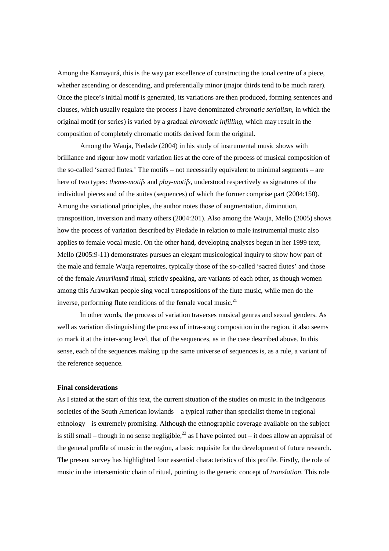Among the Kamayurá, this is the way par excellence of constructing the tonal centre of a piece, whether ascending or descending, and preferentially minor (major thirds tend to be much rarer). Once the piece's initial motif is generated, its variations are then produced, forming sentences and clauses, which usually regulate the process I have denominated *chromatic serialism*, in which the original motif (or series) is varied by a gradual *chromatic infilling*, which may result in the composition of completely chromatic motifs derived form the original.

 Among the Wauja, Piedade (2004) in his study of instrumental music shows with brilliance and rigour how motif variation lies at the core of the process of musical composition of the so-called 'sacred flutes.' The motifs – not necessarily equivalent to minimal segments – are here of two types: *theme-motifs* and *play-motifs*, understood respectively as signatures of the individual pieces and of the suites (sequences) of which the former comprise part (2004:150). Among the variational principles, the author notes those of augmentation, diminution, transposition, inversion and many others (2004:201). Also among the Wauja, Mello (2005) shows how the process of variation described by Piedade in relation to male instrumental music also applies to female vocal music. On the other hand, developing analyses begun in her 1999 text, Mello (2005:9-11) demonstrates pursues an elegant musicological inquiry to show how part of the male and female Wauja repertoires, typically those of the so-called 'sacred flutes' and those of the female *Amurikumã* ritual, strictly speaking, are variants of each other, as though women among this Arawakan people sing vocal transpositions of the flute music, while men do the inverse, performing flute renditions of the female vocal music. $21$ 

 In other words, the process of variation traverses musical genres and sexual genders. As well as variation distinguishing the process of intra-song composition in the region, it also seems to mark it at the inter-song level, that of the sequences, as in the case described above. In this sense, each of the sequences making up the same universe of sequences is, as a rule, a variant of the reference sequence.

#### **Final considerations**

As I stated at the start of this text, the current situation of the studies on music in the indigenous societies of the South American lowlands – a typical rather than specialist theme in regional ethnology – is extremely promising. Although the ethnographic coverage available on the subject is still small – though in no sense negligible,<sup>22</sup> as I have pointed out – it does allow an appraisal of the general profile of music in the region, a basic requisite for the development of future research. The present survey has highlighted four essential characteristics of this profile. Firstly, the role of music in the intersemiotic chain of ritual, pointing to the generic concept of *translation*. This role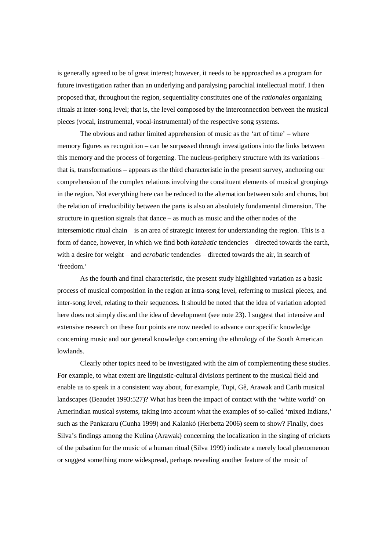is generally agreed to be of great interest; however, it needs to be approached as a program for future investigation rather than an underlying and paralysing parochial intellectual motif. I then proposed that, throughout the region, sequentiality constitutes one of the *rationales* organizing rituals at inter-song level; that is, the level composed by the interconnection between the musical pieces (vocal, instrumental, vocal-instrumental) of the respective song systems.

 The obvious and rather limited apprehension of music as the 'art of time' – where memory figures as recognition – can be surpassed through investigations into the links between this memory and the process of forgetting. The nucleus-periphery structure with its variations – that is, transformations – appears as the third characteristic in the present survey, anchoring our comprehension of the complex relations involving the constituent elements of musical groupings in the region. Not everything here can be reduced to the alternation between solo and chorus, but the relation of irreducibility between the parts is also an absolutely fundamental dimension. The structure in question signals that dance – as much as music and the other nodes of the intersemiotic ritual chain – is an area of strategic interest for understanding the region. This is a form of dance, however, in which we find both *katabatic* tendencies – directed towards the earth, with a desire for weight – and *acrobatic* tendencies – directed towards the air, in search of 'freedom.'

 As the fourth and final characteristic, the present study highlighted variation as a basic process of musical composition in the region at intra-song level, referring to musical pieces, and inter-song level, relating to their sequences. It should be noted that the idea of variation adopted here does not simply discard the idea of development (see note 23). I suggest that intensive and extensive research on these four points are now needed to advance our specific knowledge concerning music and our general knowledge concerning the ethnology of the South American lowlands.

 Clearly other topics need to be investigated with the aim of complementing these studies. For example, to what extent are linguistic-cultural divisions pertinent to the musical field and enable us to speak in a consistent way about, for example, Tupi, Gê, Arawak and Carib musical landscapes (Beaudet 1993:527)? What has been the impact of contact with the 'white world' on Amerindian musical systems, taking into account what the examples of so-called 'mixed Indians,' such as the Pankararu (Cunha 1999) and Kalankó (Herbetta 2006) seem to show? Finally, does Silva's findings among the Kulina (Arawak) concerning the localization in the singing of crickets of the pulsation for the music of a human ritual (Silva 1999) indicate a merely local phenomenon or suggest something more widespread, perhaps revealing another feature of the music of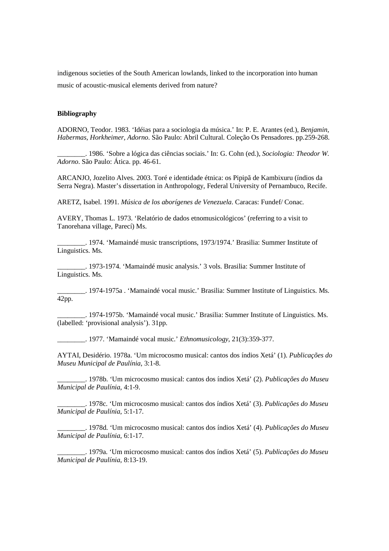indigenous societies of the South American lowlands, linked to the incorporation into human music of acoustic-musical elements derived from nature?

## **Bibliography**

ADORNO, Teodor. 1983. 'Idéias para a sociologia da música.' In: P. E. Arantes (ed.), *Benjamin, Habermas, Horkheimer, Adorno*. São Paulo: Abril Cultural. Coleção Os Pensadores. pp.259-268.

\_\_\_\_\_\_\_\_. 1986. 'Sobre a lógica das ciências sociais.' In: G. Cohn (ed.), *Sociologia: Theodor W. Adorno*. São Paulo: Ática. pp. 46-61.

ARCANJO, Jozelito Alves. 2003. Toré e identidade étnica: os Pipipã de Kambixuru (índios da Serra Negra). Master's dissertation in Anthropology, Federal University of Pernambuco, Recife.

ARETZ, Isabel. 1991. *Música de los aborígenes de Venezuela*. Caracas: Fundef/ Conac.

AVERY, Thomas L. 1973. 'Relatório de dados etnomusicológicos' (referring to a visit to Tanorehana village, Parecí) Ms.

\_\_\_\_\_\_\_\_. 1974. 'Mamaindé music transcriptions, 1973/1974.' Brasilia: Summer Institute of Linguistics. Ms.

\_\_\_\_\_\_\_\_. 1973-1974. 'Mamaindé music analysis.' 3 vols. Brasilia: Summer Institute of Linguistics. Ms.

\_\_\_\_\_\_\_\_. 1974-1975a . 'Mamaindé vocal music.' Brasilia: Summer Institute of Linguistics. Ms. 42pp.

\_\_\_\_\_\_\_\_. 1974-1975b. 'Mamaindé vocal music.' Brasilia: Summer Institute of Linguistics. Ms. (labelled: 'provisional analysis'). 31pp.

\_\_\_\_\_\_\_\_. 1977. 'Mamaindé vocal music.' *Ethnomusicology*, 21(3):359-377.

AYTAI, Desidério. 1978a. 'Um microcosmo musical: cantos dos índios Xetá' (1). *Publicações do Museu Municipal de Paulínia*, 3:1-8.

\_\_\_\_\_\_\_\_. 1978b. 'Um microcosmo musical: cantos dos índios Xetá' (2). *Publicações do Museu Municipal de Paulínia*, 4:1-9.

\_\_\_\_\_\_\_\_. 1978c. 'Um microcosmo musical: cantos dos índios Xetá' (3). *Publicações do Museu Municipal de Paulínia*, 5:1-17.

\_\_\_\_\_\_\_\_. 1978d. 'Um microcosmo musical: cantos dos índios Xetá' (4). *Publicações do Museu Municipal de Paulínia*, 6:1-17.

\_\_\_\_\_\_\_\_. 1979a. 'Um microcosmo musical: cantos dos índios Xetá' (5). *Publicações do Museu Municipal de Paulínia*, 8:13-19.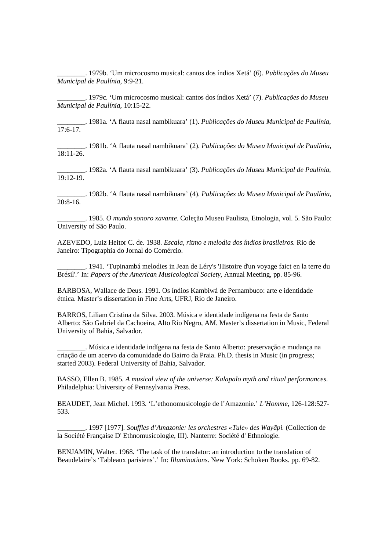\_\_\_\_\_\_\_\_. 1979b. 'Um microcosmo musical: cantos dos índios Xetá' (6). *Publicações do Museu Municipal de Paulínia*, 9:9-21.

\_\_\_\_\_\_\_\_. 1979c. 'Um microcosmo musical: cantos dos índios Xetá' (7). *Publicações do Museu Municipal de Paulínia*, 10:15-22.

\_\_\_\_\_\_\_\_. 1981a. 'A flauta nasal nambikuara' (1). *Publicações do Museu Municipal de Paulínia*, 17:6-17.

\_\_\_\_\_\_\_\_. 1981b. 'A flauta nasal nambikuara' (2). *Publicações do Museu Municipal de Paulínia*, 18:11-26.

\_\_\_\_\_\_\_\_. 1982a. 'A flauta nasal nambikuara' (3). *Publicações do Museu Municipal de Paulínia*, 19:12-19.

\_\_\_\_\_\_\_\_. 1982b. 'A flauta nasal nambikuara' (4). *Publicações do Museu Municipal de Paulínia*, 20:8-16.

\_\_\_\_\_\_\_\_. 1985. *O mundo sonoro xavante*. Coleção Museu Paulista, Etnologia, vol. 5. São Paulo: University of São Paulo.

AZEVEDO, Luiz Heitor C. de. 1938. *Escala, ritmo e melodia dos índios brasileiros.* Rio de Janeiro: Tipographia do Jornal do Comércio.

\_\_\_\_\_\_\_\_. 1941. 'Tupinambá melodies in Jean de Léry's 'Histoire d'un voyage faict en la terre du Brésil'.' In: *Papers of the American Musicological Society*, Annual Meeting, pp. 85-96.

BARBOSA, Wallace de Deus. 1991. Os índios Kambiwá de Pernambuco: arte e identidade étnica. Master's dissertation in Fine Arts, UFRJ, Rio de Janeiro.

BARROS, Liliam Cristina da Silva. 2003. Música e identidade indígena na festa de Santo Alberto: São Gabriel da Cachoeira, Alto Rio Negro, AM. Master's dissertation in Music, Federal University of Bahia, Salvador.

\_\_\_\_\_\_\_\_. Música e identidade indígena na festa de Santo Alberto: preservação e mudança na criação de um acervo da comunidade do Bairro da Praia. Ph.D. thesis in Music (in progress; started 2003). Federal University of Bahia, Salvador.

BASSO, Ellen B. 1985. *A musical view of the universe: Kalapalo myth and ritual performances*. Philadelphia: University of Pennsylvania Press.

BEAUDET, Jean Michel. 1993. 'L'ethonomusicologie de l'Amazonie.' *L'Homme*, 126-128:527- 533.

\_\_\_\_\_\_\_\_. 1997 [1977]. *Souffles d'Amazonie: les orchestres «Tule» des Wayãpi.* (Collection de la Société Française D' Ethnomusicologie, III). Nanterre: Société d' Ethnologie.

BENJAMIN, Walter. 1968. 'The task of the translator: an introduction to the translation of Beaudelaire's 'Tableaux parisiens'.' In: *Illuminations*. New York: Schoken Books. pp. 69-82.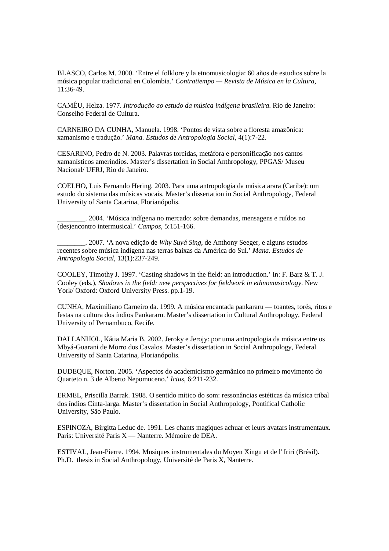BLASCO, Carlos M. 2000. 'Entre el folklore y la etnomusicologia: 60 años de estudios sobre la música popular tradicional en Colombia.' *Contratiempo — Revista de Música en la Cultura*, 11:36-49.

CAMÊU, Helza. 1977. *Introdução ao estudo da música indígena brasileira*. Rio de Janeiro: Conselho Federal de Cultura.

CARNEIRO DA CUNHA, Manuela. 1998. 'Pontos de vista sobre a floresta amazônica: xamanismo e tradução.' *Mana. Estudos de Antropologia Social*, 4(1):7-22.

CESARINO, Pedro de N. 2003. Palavras torcidas, metáfora e personificação nos cantos xamanísticos ameríndios. Master's dissertation in Social Anthropology, PPGAS/ Museu Nacional/ UFRJ, Rio de Janeiro.

COELHO, Luis Fernando Hering. 2003. Para uma antropologia da música arara (Caribe): um estudo do sistema das músicas vocais. Master's dissertation in Social Anthropology, Federal University of Santa Catarina, Florianópolis.

\_\_\_\_\_\_\_\_. 2004. 'Música indígena no mercado: sobre demandas, mensagens e ruídos no (des)encontro intermusical.' *Campos*, 5:151-166.

\_\_\_\_\_\_\_\_. 2007. 'A nova edição de *Why Suyá Sing*, de Anthony Seeger, e alguns estudos recentes sobre música indígena nas terras baixas da América do Sul.' *Mana. Estudos de Antropologia Social*, 13(1):237-249.

COOLEY, Timothy J. 1997. 'Casting shadows in the field: an introduction.' In: F. Barz & T. J. Cooley (eds.), *Shadows in the field: new perspectives for fieldwork in ethnomusicology*. New York/ Oxford: Oxford University Press. pp.1-19.

CUNHA, Maximiliano Carneiro da. 1999. A música encantada pankararu — toantes, torés, ritos e festas na cultura dos índios Pankararu. Master's dissertation in Cultural Anthropology, Federal University of Pernambuco, Recife.

DALLANHOL, Kátia Maria B. 2002. Jeroky e Jerojy: por uma antropologia da música entre os Mbyá-Guarani de Morro dos Cavalos. Master's dissertation in Social Anthropology, Federal University of Santa Catarina, Florianópolis.

DUDEQUE, Norton. 2005. 'Aspectos do academicismo germânico no primeiro movimento do Quarteto n. 3 de Alberto Nepomuceno.' *Ictus*, 6:211-232.

ERMEL, Priscilla Barrak. 1988. O sentido mítico do som: ressonâncias estéticas da música tribal dos índios Cinta-larga. Master's dissertation in Social Anthropology, Pontifical Catholic University, São Paulo.

ESPINOZA, Birgitta Leduc de. 1991. Les chants magiques achuar et leurs avatars instrumentaux. Paris: Université Paris X — Nanterre. Mémoire de DEA.

ESTIVAL, Jean-Pierre. 1994. Musiques instrumentales du Moyen Xingu et de l' Iriri (Brésil). Ph.D. thesis in Social Anthropology, Université de Paris X, Nanterre.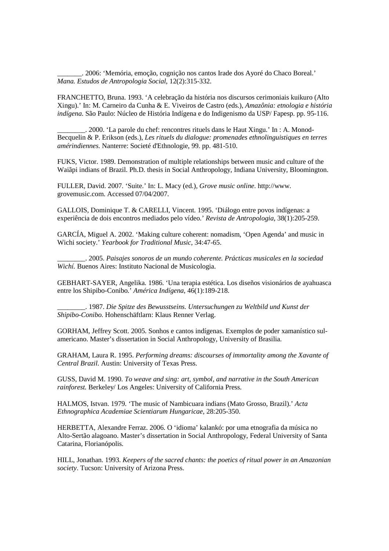\_\_\_\_\_\_\_. 2006: 'Memória, emoção, cognição nos cantos Irade dos Ayoré do Chaco Boreal.' *Mana. Estudos de Antropologia Social*, 12(2):315-332.

FRANCHETTO, Bruna. 1993. 'A celebração da história nos discursos cerimoniais kuikuro (Alto Xingu).' In: M. Carneiro da Cunha & E. Viveiros de Castro (eds.), *Amazônia: etnologia e história indígena*. São Paulo: Núcleo de História Indígena e do Indigenismo da USP/ Fapesp. pp. 95-116.

\_\_\_\_\_\_\_\_. 2000. 'La parole du chef: rencontres rituels dans le Haut Xingu.' In : A. Monod-Becquelin & P. Erikson (eds.), *Les rituels du dialogue: promenades ethnolinguistiques en terres amérindiennes.* Nanterre: Societé d'Ethnologie, 99. pp. 481-510.

FUKS, Victor. 1989. Demonstration of multiple relationships between music and culture of the Waiãpi indians of Brazil. Ph.D. thesis in Social Anthropology, Indiana University, Bloomington.

FULLER, David. 2007. 'Suite.' In: L. Macy (ed.), *Grove music online*. http://www. grovemusic.com. Accessed 07/04/2007.

GALLOIS, Dominique T. & CARELLI, Vincent. 1995. 'Diálogo entre povos indígenas: a experiência de dois encontros mediados pelo vídeo.' *Revista de Antropologia*, 38(1):205-259.

GARCÍA, Miguel A. 2002. 'Making culture coherent: nomadism, 'Open Agenda' and music in Wichi society.' *Yearbook for Traditional Music*, 34:47-65.

\_\_\_\_\_\_\_\_. 2005. *Paisajes sonoros de un mundo coherente. Prácticas musicales en la sociedad Wichí.* Buenos Aires: Instituto Nacional de Musicologia.

GEBHART-SAYER, Angelika. 1986. 'Una terapia estética. Los diseños visionários de ayahuasca entre los Shipibo-Conibo.' *América Indígena*, 46(1):189-218.

\_\_\_\_\_\_\_\_. 1987. *Die Spitze des Bewusstseins. Untersuchungen zu Weltbild und Kunst der Shipibo-Conibo.* Hohenschäftlarn: Klaus Renner Verlag.

GORHAM, Jeffrey Scott. 2005. Sonhos e cantos indígenas. Exemplos de poder xamanístico sulamericano. Master's dissertation in Social Anthropology, University of Brasilia.

GRAHAM, Laura R. 1995. *Performing dreams: discourses of immortality among the Xavante of Central Brazil*. Austin: University of Texas Press.

GUSS, David M. 1990. *To weave and sing: art, symbol, and narrative in the South American rainforest.* Berkeley/ Los Angeles: University of California Press.

HALMOS, Istvan. 1979. 'The music of Nambicuara indians (Mato Grosso, Brazil).' *Acta Ethnographica Academiae Scientiarum Hungaricae*, 28:205-350.

HERBETTA, Alexandre Ferraz. 2006. O 'idioma' kalankó: por uma etnografia da música no Alto-Sertão alagoano. Master's dissertation in Social Anthropology, Federal University of Santa Catarina, Florianópolis.

HILL, Jonathan. 1993. *Keepers of the sacred chants: the poetics of ritual power in an Amazonian society*. Tucson: University of Arizona Press.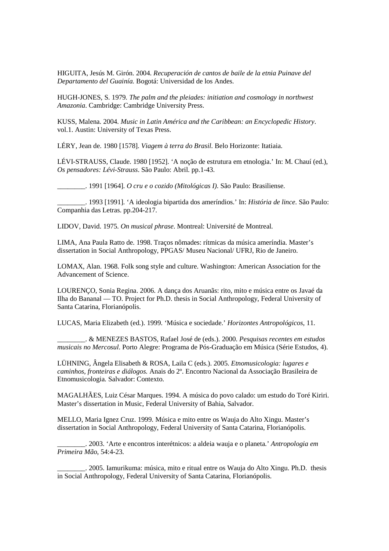HIGUITA, Jesús M. Girón. 2004. *Recuperación de cantos de baile de la etnia Puinave del Departamento del Guainía.* Bogotá: Universidad de los Andes.

HUGH-JONES, S. 1979. *The palm and the pleiades: initiation and cosmology in northwest Amazonia*. Cambridge: Cambridge University Press.

KUSS, Malena. 2004. *Music in Latin América and the Caribbean: an Encyclopedic History*. vol.1. Austin: University of Texas Press.

LÉRY, Jean de. 1980 [1578]. *Viagem à terra do Brasil*. Belo Horizonte: Itatiaia.

LÉVI-STRAUSS, Claude. 1980 [1952]. 'A noção de estrutura em etnologia.' In: M. Chauí (ed.), *Os pensadores: Lévi-Strauss*. São Paulo: Abril. pp.1-43.

\_\_\_\_\_\_\_\_. 1991 [1964]. *O cru e o cozido (Mitológicas I)*. São Paulo: Brasiliense.

\_\_\_\_\_\_\_\_. 1993 [1991]. 'A ideologia bipartida dos ameríndios.' In: *História de lince*. São Paulo: Companhia das Letras. pp.204-217.

LIDOV, David. 1975. *On musical phrase*. Montreal: Université de Montreal.

LIMA, Ana Paula Ratto de. 1998. Traços nômades: rítmicas da música ameríndia. Master's dissertation in Social Anthropology, PPGAS/ Museu Nacional/ UFRJ, Rio de Janeiro.

LOMAX, Alan. 1968. Folk song style and culture. Washington: American Association for the Advancement of Science.

LOURENÇO, Sonia Regina. 2006. A dança dos Aruanãs: rito, mito e música entre os Javaé da Ilha do Bananal — TO. Project for Ph.D. thesis in Social Anthropology, Federal University of Santa Catarina, Florianópolis.

LUCAS, Maria Elizabeth (ed.). 1999. 'Música e sociedade.' *Horizontes Antropológicos*, 11.

\_\_\_\_\_\_\_\_. & MENEZES BASTOS, Rafael José de (eds.). 2000. *Pesquisas recentes em estudos musicais no Mercosul*. Porto Alegre: Programa de Pós-Graduação em Música (Série Estudos, 4).

LÜHNING, Ângela Elisabeth & ROSA, Laila C (eds.). 2005. *Etnomusicologia: lugares e caminhos, fronteiras e diálogos.* Anais do 2º. Encontro Nacional da Associação Brasileira de Etnomusicologia. Salvador: Contexto.

MAGALHÃES, Luiz César Marques. 1994. A música do povo calado: um estudo do Toré Kiriri. Master's dissertation in Music, Federal University of Bahia, Salvador.

MELLO, Maria Ignez Cruz. 1999. Música e mito entre os Wauja do Alto Xingu. Master's dissertation in Social Anthropology, Federal University of Santa Catarina, Florianópolis.

\_\_\_\_\_\_\_\_. 2003. 'Arte e encontros interétnicos: a aldeia wauja e o planeta.' *Antropologia em Primeira Mão*, 54:4-23.

\_\_\_\_\_\_\_\_. 2005. Iamurikuma: música, mito e ritual entre os Wauja do Alto Xingu. Ph.D. thesis in Social Anthropology, Federal University of Santa Catarina, Florianópolis.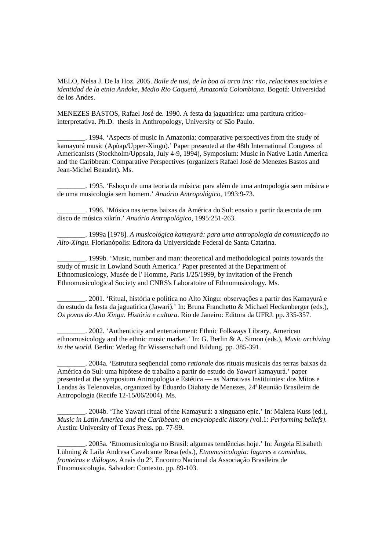MELO, Nelsa J. De la Hoz. 2005. *Baile de tusi, de la boa al arco iris: rito, relaciones sociales e identidad de la etnia Andoke, Medio Rio Caquetá, Amazonía Colombiana*. Bogotá: Universidad de los Andes.

MENEZES BASTOS, Rafael José de. 1990. A festa da jaguatirica: uma partitura críticointerpretativa. Ph.D. thesis in Anthropology, University of São Paulo.

\_\_\_\_\_\_\_\_. 1994. 'Aspects of music in Amazonia: comparative perspectives from the study of kamayurá music (Apùap/Upper-Xingu).' Paper presented at the 48th International Congress of Americanists (Stockholm/Uppsala, July 4-9, 1994), Symposium: Music in Native Latin America and the Caribbean: Comparative Perspectives (organizers Rafael José de Menezes Bastos and Jean-Michel Beaudet). Ms.

\_\_\_\_\_\_\_\_. 1995. 'Esboço de uma teoria da música: para além de uma antropologia sem música e de uma musicologia sem homem.' *Anuário Antropológico*, 1993:9-73.

\_\_\_\_\_\_\_\_. 1996. 'Música nas terras baixas da América do Sul: ensaio a partir da escuta de um disco de música xikrín.' *Anuário Antropológico*, 1995:251-263.

\_\_\_\_\_\_\_\_. 1999a [1978]. *A musicológica kamayurá: para uma antropologia da comunicação no Alto-Xingu*. Florianópolis: Editora da Universidade Federal de Santa Catarina.

\_\_\_\_\_\_\_\_. 1999b. 'Music, number and man: theoretical and methodological points towards the study of music in Lowland South America.' Paper presented at the Department of Ethnomusicology, Musée de l' Homme, Paris 1/25/1999, by invitation of the French Ethnomusicological Society and CNRS's Laboratoire of Ethnomusicology. Ms.

\_\_\_\_\_\_\_\_. 2001. 'Ritual, história e política no Alto Xingu: observações a partir dos Kamayurá e do estudo da festa da jaguatirica (Jawari).' In: Bruna Franchetto & Michael Heckenberger (eds.), *Os povos do Alto Xingu. História e cultura*. Rio de Janeiro: Editora da UFRJ. pp. 335-357.

\_\_\_\_\_\_\_\_. 2002. 'Authenticity and entertainment: Ethnic Folkways Library, American ethnomusicology and the ethnic music market.' In: G. Berlin & A. Simon (eds.), *Music archiving in the world.* Berlin: Werlag für Wissenschaft und Bildung. pp. 385-391.

\_\_\_\_\_\_\_\_. 2004a. 'Estrutura seqüencial como *rationale* dos rituais musicais das terras baixas da América do Sul: uma hipótese de trabalho a partir do estudo do *Yawari* kamayurá.' paper presented at the symposium Antropologia e Estética — as Narrativas Instituintes: dos Mitos e Lendas às Telenovelas, organized by Eduardo Diahaty de Menezes, 24<sup>a</sup>Reunião Brasileira de Antropologia (Recife 12-15/06/2004). Ms.

\_\_\_\_\_\_\_\_. 2004b. 'The Yawari ritual of the Kamayurá: a xinguano epic.' In: Malena Kuss (ed.), *Music in Latin America and the Caribbean: an encyclopedic history (*vol.1: *Performing beliefs)*. Austin: University of Texas Press. pp. 77-99.

\_\_\_\_\_\_\_\_. 2005a. 'Etnomusicologia no Brasil: algumas tendências hoje.' In: Ângela Elisabeth Lühning & Laila Andresa Cavalcante Rosa (eds.), *Etnomusicologia: lugares e caminhos, fronteiras e diálogos*. Anais do 2º. Encontro Nacional da Associação Brasileira de Etnomusicologia. Salvador: Contexto. pp. 89-103.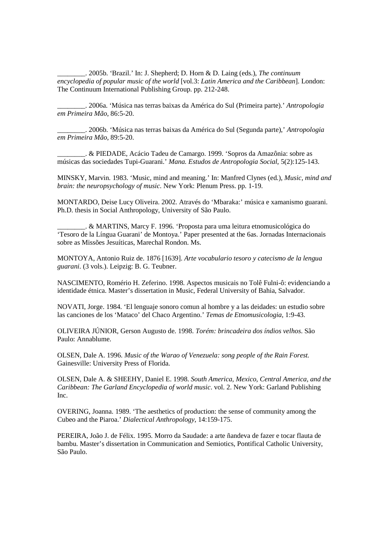\_\_\_\_\_\_\_\_. 2005b. 'Brazil.' In: J. Shepherd; D. Horn & D. Laing (eds.), *The continuum encyclopedia of popular music of the world* [vol.3: *Latin America and the Caribbean*]. London: The Continuum International Publishing Group. pp. 212-248.

\_\_\_\_\_\_\_\_. 2006a. 'Música nas terras baixas da América do Sul (Primeira parte).' *Antropologia em Primeira Mão*, 86:5-20.

\_\_\_\_\_\_\_\_. 2006b. 'Música nas terras baixas da América do Sul (Segunda parte),' *Antropologia em Primeira Mão*, 89:5-20.

\_\_\_\_\_\_\_\_. & PIEDADE, Acácio Tadeu de Camargo. 1999. 'Sopros da Amazônia: sobre as músicas das sociedades Tupi-Guarani.' *Mana. Estudos de Antropologia Social*, 5(2):125-143.

MINSKY, Marvin. 1983. 'Music, mind and meaning.' In: Manfred Clynes (ed.), *Music, mind and brain: the neuropsychology of music*. New York: Plenum Press. pp. 1-19.

MONTARDO, Deise Lucy Oliveira. 2002. Através do 'Mbaraka:' música e xamanismo guarani. Ph.D. thesis in Social Anthropology, University of São Paulo.

\_\_\_\_\_\_\_\_. & MARTINS, Marcy F. 1996. 'Proposta para uma leitura etnomusicológica do 'Tesoro de la Língua Guarani' de Montoya.' Paper presented at the 6as. Jornadas Internacionais sobre as Missões Jesuíticas, Marechal Rondon. Ms.

MONTOYA, Antonio Ruiz de. 1876 [1639]. *Arte vocabulario tesoro y catecismo de la lengua guarani*. (3 vols.). Leipzig: B. G. Teubner.

NASCIMENTO, Romério H. Zeferino. 1998. Aspectos musicais no Tolê Fulni-ô: evidenciando a identidade étnica. Master's dissertation in Music, Federal University of Bahia, Salvador.

NOVATI, Jorge. 1984. 'El lenguaje sonoro comun al hombre y a las deidades: un estudio sobre las canciones de los 'Mataco' del Chaco Argentino.' *Temas de Etnomusicologia*, 1:9-43.

OLIVEIRA JÚNIOR, Gerson Augusto de. 1998. *Torém: brincadeira dos índios velhos*. São Paulo: Annablume.

OLSEN, Dale A. 1996. *Music of the Warao of Venezuela: song people of the Rain Forest.* Gainesville: University Press of Florida.

OLSEN, Dale A. & SHEEHY, Daniel E. 1998. *South America, Mexico, Central America, and the Caribbean: The Garland Encyclopedia of world music*. vol. 2. New York: Garland Publishing Inc.

OVERING, Joanna. 1989. 'The aesthetics of production: the sense of community among the Cubeo and the Piaroa.' *Dialectical Anthropology*, 14:159-175.

PEREIRA, João J. de Félix. 1995. Morro da Saudade: a arte ñandeva de fazer e tocar flauta de bambu. Master's dissertation in Communication and Semiotics, Pontifical Catholic University, São Paulo.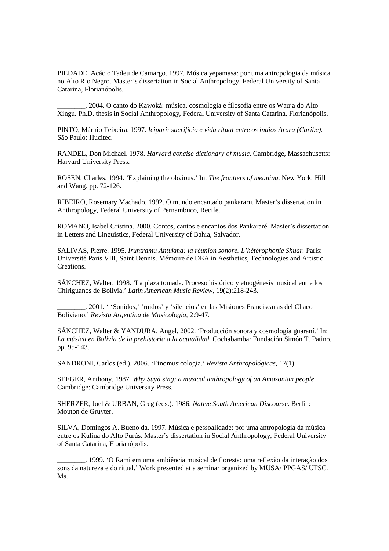PIEDADE, Acácio Tadeu de Camargo. 1997. Música yepamasa: por uma antropologia da música no Alto Rio Negro. Master's dissertation in Social Anthropology, Federal University of Santa Catarina, Florianópolis.

\_\_\_\_\_\_\_\_. 2004. O canto do Kawoká: música, cosmologia e filosofia entre os Wauja do Alto Xingu. Ph.D. thesis in Social Anthropology, Federal University of Santa Catarina, Florianópolis.

PINTO, Márnio Teixeira. 1997. *Ieipari: sacrifício e vida ritual entre os índios Arara (Caribe)*. São Paulo: Hucitec.

RANDEL, Don Michael. 1978. *Harvard concise dictionary of music*. Cambridge, Massachusetts: Harvard University Press.

ROSEN, Charles. 1994. 'Explaining the obvious.' In: *The frontiers of meaning*. New York: Hill and Wang. pp. 72-126.

RIBEIRO, Rosemary Machado. 1992. O mundo encantado pankararu. Master's dissertation in Anthropology, Federal University of Pernambuco, Recife.

ROMANO, Isabel Cristina. 2000. Contos, cantos e encantos dos Pankararé. Master's dissertation in Letters and Linguistics, Federal University of Bahia, Salvador.

SALIVAS, Pierre. 1995. *Iruntramu Antukma: la réunion sonore. L'hétérophonie Shuar.* Paris: Université Paris VIII, Saint Dennis. Mémoire de DEA in Aesthetics, Technologies and Artistic Creations.

SÁNCHEZ, Walter. 1998. 'La plaza tomada. Proceso histórico y etnogénesis musical entre los Chiriguanos de Bolívia.' *Latin American Music Review*, 19(2):218-243.

\_\_\_\_\_\_\_\_. 2001. ' 'Sonidos,' 'ruidos' y 'silencios' en las Misiones Franciscanas del Chaco Boliviano.' *Revista Argentina de Musicologia*, 2:9-47.

SÁNCHEZ, Walter & YANDURA, Angel. 2002. 'Producción sonora y cosmología guaraní.' In: *La música en Bolivia de la prehistoria a la actualidad*. Cochabamba: Fundación Simón T. Patino. pp. 95-143.

SANDRONI, Carlos (ed.). 2006. 'Etnomusicologia.' *Revista Anthropológicas*, 17(1).

SEEGER, Anthony. 1987. *Why Suyá sing: a musical anthropology of an Amazonian people*. Cambridge: Cambridge University Press.

SHERZER, Joel & URBAN, Greg (eds.). 1986. *Native South American Discourse*. Berlin: Mouton de Gruyter.

SILVA, Domingos A. Bueno da. 1997. Música e pessoalidade: por uma antropologia da música entre os Kulina do Alto Purús. Master's dissertation in Social Anthropology, Federal University of Santa Catarina, Florianópolis.

\_\_\_\_\_\_\_\_. 1999. 'O Rami em uma ambiência musical de floresta: uma reflexão da interação dos sons da natureza e do ritual.' Work presented at a seminar organized by MUSA/ PPGAS/ UFSC. M<sub>s</sub>.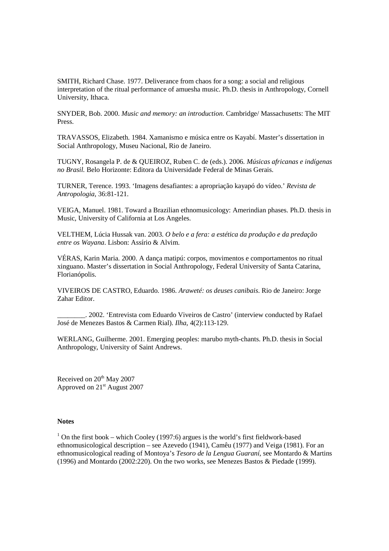SMITH, Richard Chase. 1977. Deliverance from chaos for a song: a social and religious interpretation of the ritual performance of amuesha music. Ph.D. thesis in Anthropology, Cornell University, Ithaca.

SNYDER, Bob. 2000. *Music and memory: an introduction*. Cambridge/ Massachusetts: The MIT Press.

TRAVASSOS, Elizabeth. 1984. Xamanismo e música entre os Kayabí. Master's dissertation in Social Anthropology, Museu Nacional, Rio de Janeiro.

TUGNY, Rosangela P. de & QUEIROZ, Ruben C. de (eds.). 2006. *Músicas africanas e indígenas no Brasil.* Belo Horizonte: Editora da Universidade Federal de Minas Gerais.

TURNER, Terence. 1993. 'Imagens desafiantes: a apropriação kayapó do vídeo.' *Revista de Antropologia*, 36:81-121.

VEIGA, Manuel. 1981. Toward a Brazilian ethnomusicology: Amerindian phases. Ph.D. thesis in Music, University of California at Los Angeles.

VELTHEM, Lúcia Hussak van. 2003. *O belo e a fera: a estética da produção e da predação entre os Wayana*. Lisbon: Assírio & Alvim.

VÉRAS, Karin Maria. 2000. A dança matipú: corpos, movimentos e comportamentos no ritual xinguano. Master's dissertation in Social Anthropology, Federal University of Santa Catarina, Florianópolis.

VIVEIROS DE CASTRO, Eduardo. 1986. *Araweté: os deuses canibais*. Rio de Janeiro: Jorge Zahar Editor.

\_\_\_\_\_\_\_\_. 2002. 'Entrevista com Eduardo Viveiros de Castro' (interview conducted by Rafael José de Menezes Bastos & Carmen Rial). *Ilha*, 4(2):113-129.

WERLANG, Guilherme. 2001. Emerging peoples: marubo myth-chants. Ph.D. thesis in Social Anthropology, University of Saint Andrews.

Received on 20<sup>th</sup> May 2007 Approved on 21<sup>st</sup> August 2007

# **Notes**

 $1$  On the first book – which Cooley (1997:6) argues is the world's first fieldwork-based ethnomusicological description – see Azevedo (1941), Camêu (1977) and Veiga (1981). For an ethnomusicological reading of Montoya's *Tesoro de la Lengua Guaraní*, see Montardo & Martins (1996) and Montardo (2002:220). On the two works, see Menezes Bastos & Piedade (1999).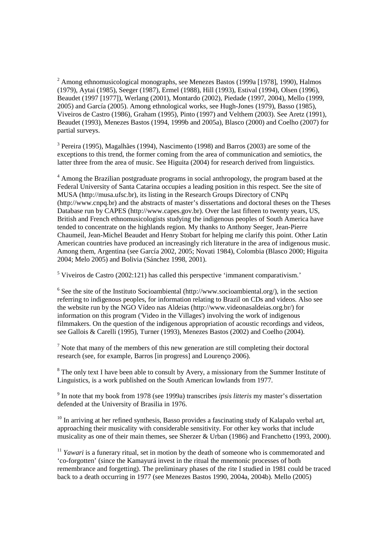$2$  Among ethnomusicological monographs, see Menezes Bastos (1999a [1978], 1990), Halmos (1979), Aytai (1985), Seeger (1987), Ermel (1988), Hill (1993), Estival (1994), Olsen (1996), Beaudet (1997 [1977]), Werlang (2001), Montardo (2002), Piedade (1997, 2004), Mello (1999, 2005) and García (2005). Among ethnological works, see Hugh-Jones (1979), Basso (1985), Viveiros de Castro (1986), Graham (1995), Pinto (1997) and Velthem (2003). See Aretz (1991), Beaudet (1993), Menezes Bastos (1994, 1999b and 2005a), Blasco (2000) and Coelho (2007) for partial surveys.

<sup>3</sup> Pereira (1995), Magalhães (1994), Nascimento (1998) and Barros (2003) are some of the exceptions to this trend, the former coming from the area of communication and semiotics, the latter three from the area of music. See Higuita (2004) for research derived from linguistics.

<sup>4</sup> Among the Brazilian postgraduate programs in social anthropology, the program based at the Federal University of Santa Catarina occupies a leading position in this respect. See the site of MUSA (http://musa.ufsc.br), its listing in the Research Groups Directory of CNPq (http://www.cnpq.br) and the abstracts of master's dissertations and doctoral theses on the Theses Database run by CAPES (http://www.capes.gov.br). Over the last fifteen to twenty years, US, British and French ethnomusicologists studying the indigenous peoples of South America have tended to concentrate on the highlands region. My thanks to Anthony Seeger, Jean-Pierre Chaumeil, Jean-Michel Beaudet and Henry Stobart for helping me clarify this point. Other Latin American countries have produced an increasingly rich literature in the area of indigenous music. Among them, Argentina (see García 2002, 2005; Novati 1984), Colombia (Blasco 2000; Higuita 2004; Melo 2005) and Bolivia (Sánchez 1998, 2001).

<sup>5</sup> Viveiros de Castro (2002:121) has called this perspective 'immanent comparativism.'

 $6$  See the site of the Instituto Socioambiental (http://www.socioambiental.org/), in the section referring to indigenous peoples, for information relating to Brazil on CDs and videos. Also see the website run by the NGO Vídeo nas Aldeias (http://www.videonasaldeias.org.br/) for information on this program ('Video in the Villages') involving the work of indigenous filmmakers. On the question of the indigenous appropriation of acoustic recordings and videos, see Gallois & Carelli (1995), Turner (1993), Menezes Bastos (2002) and Coelho (2004).

 $<sup>7</sup>$  Note that many of the members of this new generation are still completing their doctoral</sup> research (see, for example, Barros [in progress] and Lourenço 2006).

<sup>8</sup> The only text I have been able to consult by Avery, a missionary from the Summer Institute of Linguistics, is a work published on the South American lowlands from 1977.

9 In note that my book from 1978 (see 1999a) transcribes *ipsis litteris* my master's dissertation defended at the University of Brasilia in 1976.

 $10$  In arriving at her refined synthesis, Basso provides a fascinating study of Kalapalo verbal art, approaching their musicality with considerable sensitivity. For other key works that include musicality as one of their main themes, see Sherzer & Urban (1986) and Franchetto (1993, 2000).

<sup>11</sup> *Yawari* is a funerary ritual, set in motion by the death of someone who is commemorated and 'co-forgotten' (since the Kamayurá invest in the ritual the mnemonic processes of both remembrance and forgetting). The preliminary phases of the rite I studied in 1981 could be traced back to a death occurring in 1977 (see Menezes Bastos 1990, 2004a, 2004b). Mello (2005)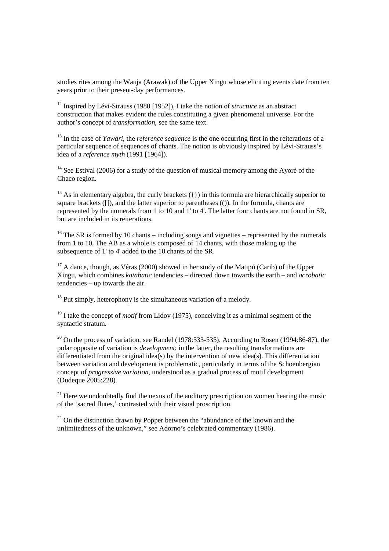studies rites among the Wauja (Arawak) of the Upper Xingu whose eliciting events date from ten years prior to their present-day performances.

<sup>12</sup> Inspired by Lévi-Strauss (1980 [1952]), I take the notion of *structure* as an abstract construction that makes evident the rules constituting a given phenomenal universe. For the author's concept of *transformation*, see the same text.

<sup>13</sup> In the case of *Yawari*, the *reference sequence* is the one occurring first in the reiterations of a particular sequence of sequences of chants. The notion is obviously inspired by Lévi-Strauss's idea of a *reference myth* (1991 [1964]).

<sup>14</sup> See Estival (2006) for a study of the question of musical memory among the Ayoré of the Chaco region.

<sup>15</sup> As in elementary algebra, the curly brackets  $({})$  in this formula are hierarchically superior to square brackets ([]), and the latter superior to parentheses (()). In the formula, chants are represented by the numerals from 1 to 10 and 1' to 4'. The latter four chants are not found in SR, but are included in its reiterations.

<sup>16</sup> The SR is formed by 10 chants – including songs and vignettes – represented by the numerals from 1 to 10. The AB as a whole is composed of 14 chants, with those making up the subsequence of 1' to 4' added to the 10 chants of the SR.

 $17$  A dance, though, as Véras (2000) showed in her study of the Matipú (Carib) of the Upper Xingu, which combines *katabatic* tendencies – directed down towards the earth – and *acrobatic* tendencies – up towards the air.

 $18$  Put simply, heterophony is the simultaneous variation of a melody.

<sup>19</sup> I take the concept of *motif* from Lidov (1975), conceiving it as a minimal segment of the syntactic stratum.

 $^{20}$  On the process of variation, see Randel (1978:533-535). According to Rosen (1994:86-87), the polar opposite of variation is *development*; in the latter, the resulting transformations are differentiated from the original idea(s) by the intervention of new idea(s). This differentiation between variation and development is problematic, particularly in terms of the Schoenbergian concept of *progressive variation*, understood as a gradual process of motif development (Dudeque 2005:228).

 $21$  Here we undoubtedly find the nexus of the auditory prescription on women hearing the music of the 'sacred flutes,' contrasted with their visual proscription.

 $22$  On the distinction drawn by Popper between the "abundance of the known and the unlimitedness of the unknown," see Adorno's celebrated commentary (1986).